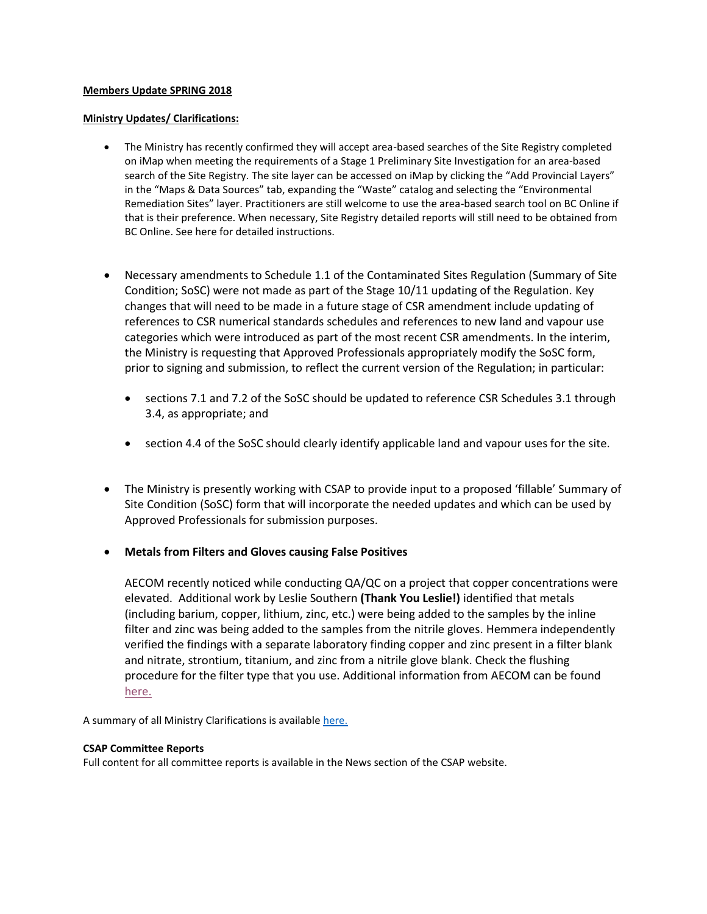## **Members Update SPRING 2018**

### **Ministry Updates/ Clarifications:**

- The Ministry has recently confirmed they will accept area-based searches of the Site Registry completed on iMap when meeting the requirements of a Stage 1 Preliminary Site Investigation for an area-based search of the Site Registry. The site layer can be accessed on iMap by clicking the "Add Provincial Layers" in the "Maps & Data Sources" tab, expanding the "Waste" catalog and selecting the "Environmental Remediation Sites" layer. Practitioners are still welcome to use the area-based search tool on BC Online if that is their preference. When necessary, Site Registry detailed reports will still need to be obtained from BC Online. See here for detailed instructions.
- Necessary amendments to Schedule 1.1 of the Contaminated Sites Regulation (Summary of Site Condition; SoSC) were not made as part of the Stage 10/11 updating of the Regulation. Key changes that will need to be made in a future stage of CSR amendment include updating of references to CSR numerical standards schedules and references to new land and vapour use categories which were introduced as part of the most recent CSR amendments. In the interim, the Ministry is requesting that Approved Professionals appropriately modify the SoSC form, prior to signing and submission, to reflect the current version of the Regulation; in particular:
	- sections 7.1 and 7.2 of the SoSC should be updated to reference CSR Schedules 3.1 through 3.4, as appropriate; and
	- section 4.4 of the SoSC should clearly identify applicable land and vapour uses for the site.
- The Ministry is presently working with CSAP to provide input to a proposed 'fillable' Summary of Site Condition (SoSC) form that will incorporate the needed updates and which can be used by Approved Professionals for submission purposes.
- **Metals from Filters and Gloves causing False Positives**

AECOM recently noticed while conducting QA/QC on a project that copper concentrations were elevated. Additional work by Leslie Southern **(Thank You Leslie!)** identified that metals (including barium, copper, lithium, zinc, etc.) were being added to the samples by the inline filter and zinc was being added to the samples from the nitrile gloves. Hemmera independently verified the findings with a separate laboratory finding copper and zinc present in a filter blank and nitrate, strontium, titanium, and zinc from a nitrile glove blank. Check the flushing procedure for the filter type that you use. Additional information from AECOM can be found [here.](https://csapsociety.bc.ca/wp-content/uploads/20180508.Are-your-field-equipment-choices-affecting-your-results.pdf)

A summary of all Ministry Clarifications is available [here.](https://csapsociety.bc.ca/wp-content/uploads/Ministry-Updates-Spring-2018-to-Summer-2012.pdf)

#### **CSAP Committee Reports**

Full content for all committee reports is available in the News section of the CSAP website.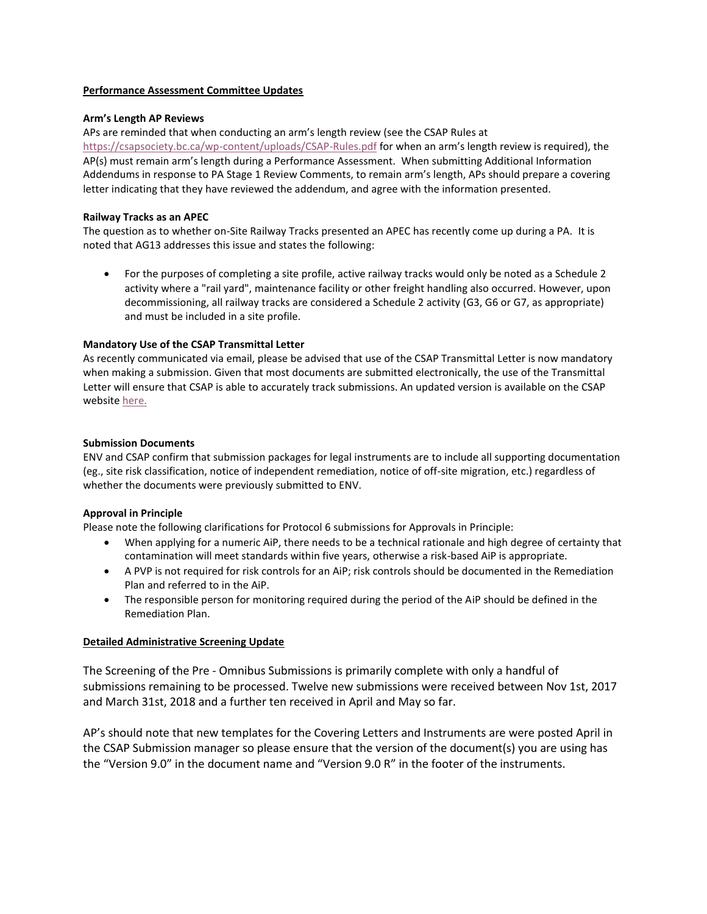#### **Performance Assessment Committee Updates**

### **Arm's Length AP Reviews**

APs are reminded that when conducting an arm's length review (see the CSAP Rules at <https://csapsociety.bc.ca/wp-content/uploads/CSAP-Rules.pdf> for when an arm's length review is required), the AP(s) must remain arm's length during a Performance Assessment. When submitting Additional Information Addendums in response to PA Stage 1 Review Comments, to remain arm's length, APs should prepare a covering letter indicating that they have reviewed the addendum, and agree with the information presented.

## **Railway Tracks as an APEC**

The question as to whether on-Site Railway Tracks presented an APEC has recently come up during a PA. It is noted that AG13 addresses this issue and states the following:

• For the purposes of completing a site profile, active railway tracks would only be noted as a Schedule 2 activity where a "rail yard", maintenance facility or other freight handling also occurred. However, upon decommissioning, all railway tracks are considered a Schedule 2 activity (G3, G6 or G7, as appropriate) and must be included in a site profile.

# **Mandatory Use of the CSAP Transmittal Letter**

As recently communicated via email, please be advised that use of the CSAP Transmittal Letter is now mandatory when making a submission. Given that most documents are submitted electronically, the use of the Transmittal Letter will ensure that CSAP is able to accurately track submissions. An updated version is available on the CSAP website [here.](https://csapsociety.bc.ca/wp-content/uploads/Transmittal-Template-11B.docx)

### **Submission Documents**

ENV and CSAP confirm that submission packages for legal instruments are to include all supporting documentation (eg., site risk classification, notice of independent remediation, notice of off-site migration, etc.) regardless of whether the documents were previously submitted to ENV.

# **Approval in Principle**

Please note the following clarifications for Protocol 6 submissions for Approvals in Principle:

- When applying for a numeric AiP, there needs to be a technical rationale and high degree of certainty that contamination will meet standards within five years, otherwise a risk-based AiP is appropriate.
- A PVP is not required for risk controls for an AiP; risk controls should be documented in the Remediation Plan and referred to in the AiP.
- The responsible person for monitoring required during the period of the AiP should be defined in the Remediation Plan.

# **Detailed Administrative Screening Update**

The Screening of the Pre - Omnibus Submissions is primarily complete with only a handful of submissions remaining to be processed. Twelve new submissions were received between Nov 1st, 2017 and March 31st, 2018 and a further ten received in April and May so far.

AP's should note that new templates for the Covering Letters and Instruments are were posted April in the CSAP Submission manager so please ensure that the version of the document(s) you are using has the "Version 9.0" in the document name and "Version 9.0 R" in the footer of the instruments.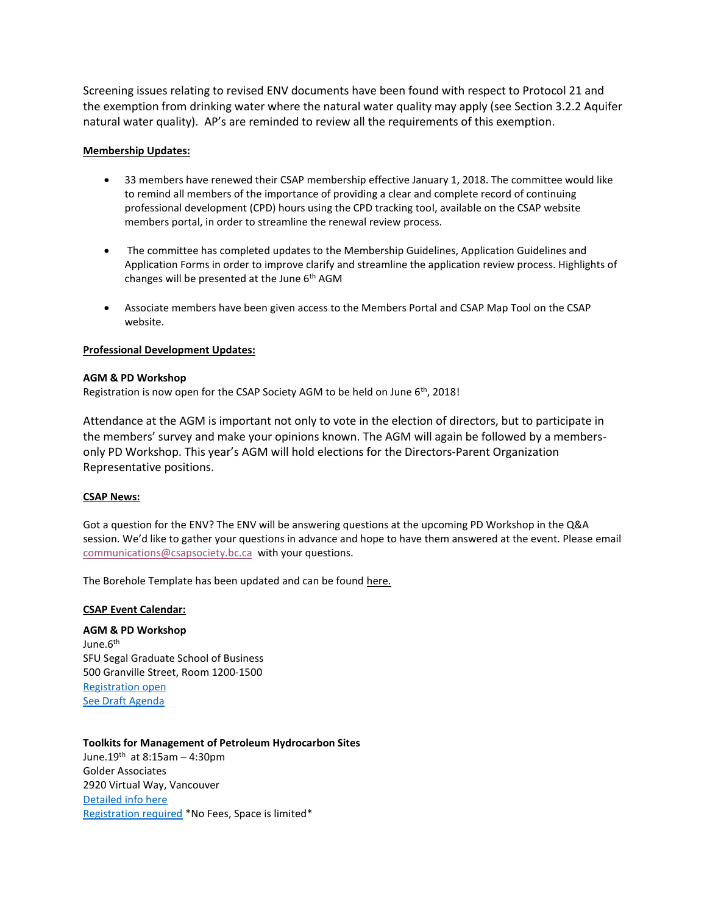Screening issues relating to revised ENV documents have been found with respect to Protocol 21 and the exemption from drinking water where the natural water quality may apply (see Section 3.2.2 Aquifer natural water quality). AP's are reminded to review all the requirements of this exemption.

### **Membership Updates:**

- 33 members have renewed their CSAP membership effective January 1, 2018. The committee would like to remind all members of the importance of providing a clear and complete record of continuing professional development (CPD) hours using the CPD tracking tool, available on the CSAP website members portal, in order to streamline the renewal review process.
- The committee has completed updates to the Membership Guidelines, Application Guidelines and Application Forms in order to improve clarify and streamline the application review process. Highlights of changes will be presented at the June  $6<sup>th</sup> AGM$
- Associate members have been given access to the Members Portal and CSAP Map Tool on the CSAP website.

### **Professional Development Updates:**

#### **AGM & PD Workshop**

Registration is now open for the CSAP Society AGM to be held on June 6<sup>th</sup>, 2018!

Attendance at the AGM is important not only to vote in the election of directors, but to participate in the members' survey and make your opinions known. The AGM will again be followed by a membersonly PD Workshop. This year's AGM will hold elections for the Directors-Parent Organization Representative positions.

#### **CSAP News:**

Got a question for the ENV? The ENV will be answering questions at the upcoming PD Workshop in the Q&A session. We'd like to gather your questions in advance and hope to have them answered at the event. Please email [communications@csapsociety.bc.ca](mailto:communications@csapsociety.bc.ca) with your questions.

The Borehole Template has been updated and can be foun[d here.](https://csapsociety.bc.ca/members/make-a-submission/)

#### **CSAP Event Calendar:**

**AGM & PD Workshop** June.6<sup>th</sup> SFU Segal Graduate School of Business 500 Granville Street, Room 1200-1500 [Registration open](https://csapsociety.bc.ca/events/) [See Draft Agenda](https://csapsociety.bc.ca/wp-content/uploads/DRAFT-v7-CSAP-AGM-Day-Long-AGENDA-June-6-2018.pdf)

# **Toolkits for Management of Petroleum Hydrocarbon Sites** June.19th at  $8:15$ am - 4:30pm Golder Associates 2920 Virtual Way, Vancouver [Detailed info here](https://csapsociety.bc.ca/wp-content/uploads/CSAP-WorkShop-Outline-April-2018-v4.pdf)

[Registration required](https://csapsociety.bc.ca/events/) \*No Fees, Space is limited\*